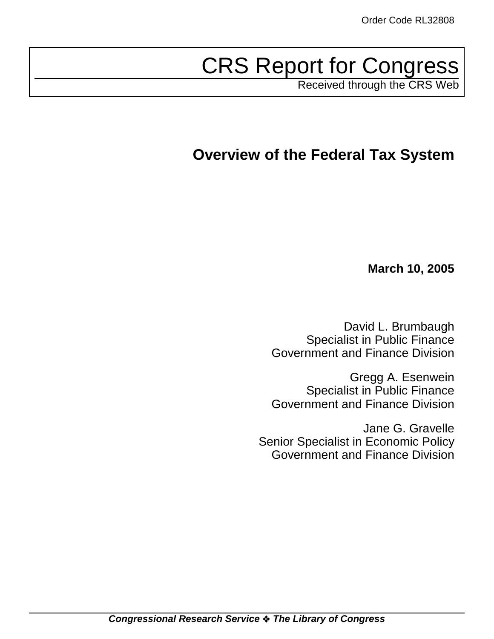# CRS Report for Congress

Received through the CRS Web

## **Overview of the Federal Tax System**

**March 10, 2005**

David L. Brumbaugh Specialist in Public Finance Government and Finance Division

Gregg A. Esenwein Specialist in Public Finance Government and Finance Division

Jane G. Gravelle Senior Specialist in Economic Policy Government and Finance Division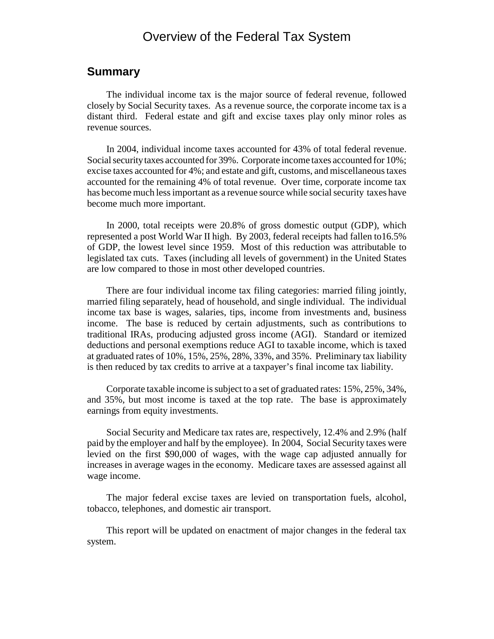## Overview of the Federal Tax System

### **Summary**

The individual income tax is the major source of federal revenue, followed closely by Social Security taxes. As a revenue source, the corporate income tax is a distant third. Federal estate and gift and excise taxes play only minor roles as revenue sources.

In 2004, individual income taxes accounted for 43% of total federal revenue. Social security taxes accounted for 39%. Corporate income taxes accounted for 10%; excise taxes accounted for 4%; and estate and gift, customs, and miscellaneous taxes accounted for the remaining 4% of total revenue. Over time, corporate income tax has become much less important as a revenue source while social security taxes have become much more important.

In 2000, total receipts were 20.8% of gross domestic output (GDP), which represented a post World War II high. By 2003, federal receipts had fallen to16.5% of GDP, the lowest level since 1959. Most of this reduction was attributable to legislated tax cuts. Taxes (including all levels of government) in the United States are low compared to those in most other developed countries.

There are four individual income tax filing categories: married filing jointly, married filing separately, head of household, and single individual. The individual income tax base is wages, salaries, tips, income from investments and, business income. The base is reduced by certain adjustments, such as contributions to traditional IRAs, producing adjusted gross income (AGI). Standard or itemized deductions and personal exemptions reduce AGI to taxable income, which is taxed at graduated rates of 10%, 15%, 25%, 28%, 33%, and 35%. Preliminary tax liability is then reduced by tax credits to arrive at a taxpayer's final income tax liability.

Corporate taxable income is subject to a set of graduated rates: 15%, 25%, 34%, and 35%, but most income is taxed at the top rate. The base is approximately earnings from equity investments.

Social Security and Medicare tax rates are, respectively, 12.4% and 2.9% (half paid by the employer and half by the employee). In 2004, Social Security taxes were levied on the first \$90,000 of wages, with the wage cap adjusted annually for increases in average wages in the economy. Medicare taxes are assessed against all wage income.

The major federal excise taxes are levied on transportation fuels, alcohol, tobacco, telephones, and domestic air transport.

This report will be updated on enactment of major changes in the federal tax system.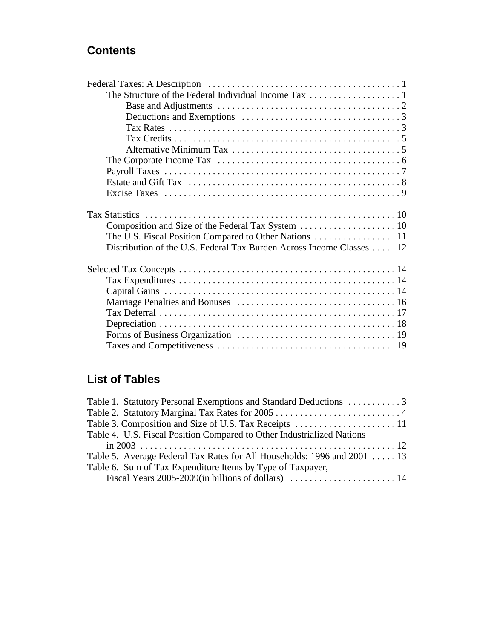## **Contents**

## **List of Tables**

| Table 4. U.S. Fiscal Position Compared to Other Industrialized Nations   |  |
|--------------------------------------------------------------------------|--|
|                                                                          |  |
| Table 5. Average Federal Tax Rates for All Households: 1996 and 2001  13 |  |
| Table 6. Sum of Tax Expenditure Items by Type of Taxpayer,               |  |
|                                                                          |  |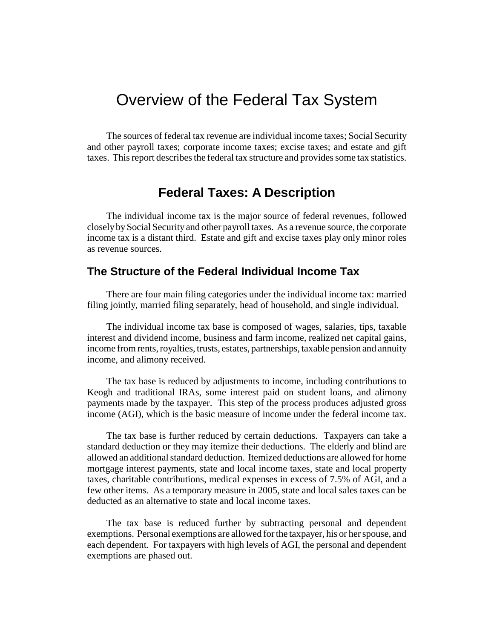## Overview of the Federal Tax System

The sources of federal tax revenue are individual income taxes; Social Security and other payroll taxes; corporate income taxes; excise taxes; and estate and gift taxes. This report describes the federal tax structure and provides some tax statistics.

## **Federal Taxes: A Description**

The individual income tax is the major source of federal revenues, followed closely by Social Security and other payroll taxes. As a revenue source, the corporate income tax is a distant third. Estate and gift and excise taxes play only minor roles as revenue sources.

## **The Structure of the Federal Individual Income Tax**

There are four main filing categories under the individual income tax: married filing jointly, married filing separately, head of household, and single individual.

The individual income tax base is composed of wages, salaries, tips, taxable interest and dividend income, business and farm income, realized net capital gains, income from rents, royalties, trusts, estates, partnerships, taxable pension and annuity income, and alimony received.

The tax base is reduced by adjustments to income, including contributions to Keogh and traditional IRAs, some interest paid on student loans, and alimony payments made by the taxpayer. This step of the process produces adjusted gross income (AGI), which is the basic measure of income under the federal income tax.

The tax base is further reduced by certain deductions. Taxpayers can take a standard deduction or they may itemize their deductions. The elderly and blind are allowed an additional standard deduction. Itemized deductions are allowed for home mortgage interest payments, state and local income taxes, state and local property taxes, charitable contributions, medical expenses in excess of 7.5% of AGI, and a few other items. As a temporary measure in 2005, state and local sales taxes can be deducted as an alternative to state and local income taxes.

The tax base is reduced further by subtracting personal and dependent exemptions. Personal exemptions are allowed for the taxpayer, his or her spouse, and each dependent. For taxpayers with high levels of AGI, the personal and dependent exemptions are phased out.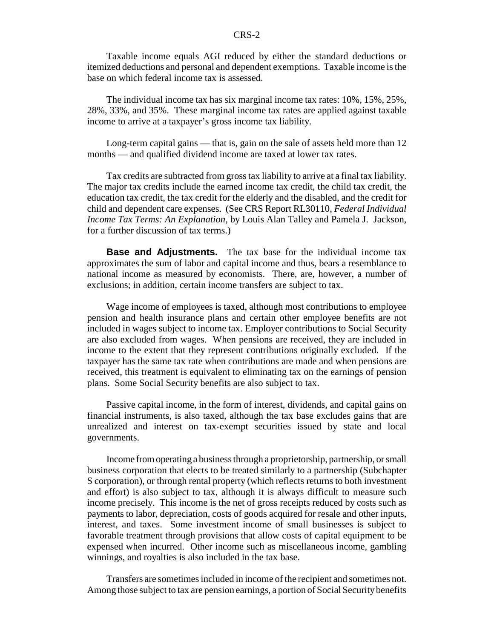Taxable income equals AGI reduced by either the standard deductions or itemized deductions and personal and dependent exemptions. Taxable income is the base on which federal income tax is assessed.

The individual income tax has six marginal income tax rates: 10%, 15%, 25%, 28%, 33%, and 35%. These marginal income tax rates are applied against taxable income to arrive at a taxpayer's gross income tax liability.

Long-term capital gains — that is, gain on the sale of assets held more than 12 months — and qualified dividend income are taxed at lower tax rates.

Tax credits are subtracted from gross tax liability to arrive at a final tax liability. The major tax credits include the earned income tax credit, the child tax credit, the education tax credit, the tax credit for the elderly and the disabled, and the credit for child and dependent care expenses. (See CRS Report RL30110, *Federal Individual Income Tax Terms: An Explanation*, by Louis Alan Talley and Pamela J. Jackson, for a further discussion of tax terms.)

**Base and Adjustments.** The tax base for the individual income tax approximates the sum of labor and capital income and thus, bears a resemblance to national income as measured by economists. There, are, however, a number of exclusions; in addition, certain income transfers are subject to tax.

Wage income of employees is taxed, although most contributions to employee pension and health insurance plans and certain other employee benefits are not included in wages subject to income tax. Employer contributions to Social Security are also excluded from wages. When pensions are received, they are included in income to the extent that they represent contributions originally excluded. If the taxpayer has the same tax rate when contributions are made and when pensions are received, this treatment is equivalent to eliminating tax on the earnings of pension plans. Some Social Security benefits are also subject to tax.

Passive capital income, in the form of interest, dividends, and capital gains on financial instruments, is also taxed, although the tax base excludes gains that are unrealized and interest on tax-exempt securities issued by state and local governments.

Income from operating a business through a proprietorship, partnership, or small business corporation that elects to be treated similarly to a partnership (Subchapter S corporation), or through rental property (which reflects returns to both investment and effort) is also subject to tax, although it is always difficult to measure such income precisely. This income is the net of gross receipts reduced by costs such as payments to labor, depreciation, costs of goods acquired for resale and other inputs, interest, and taxes. Some investment income of small businesses is subject to favorable treatment through provisions that allow costs of capital equipment to be expensed when incurred. Other income such as miscellaneous income, gambling winnings, and royalties is also included in the tax base.

Transfers are sometimes included in income of the recipient and sometimes not. Among those subject to tax are pension earnings, a portion of Social Security benefits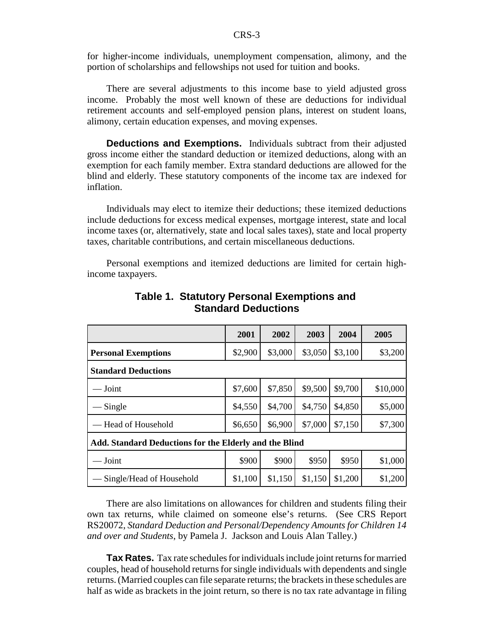for higher-income individuals, unemployment compensation, alimony, and the portion of scholarships and fellowships not used for tuition and books.

There are several adjustments to this income base to yield adjusted gross income. Probably the most well known of these are deductions for individual retirement accounts and self-employed pension plans, interest on student loans, alimony, certain education expenses, and moving expenses.

**Deductions and Exemptions.** Individuals subtract from their adjusted gross income either the standard deduction or itemized deductions, along with an exemption for each family member. Extra standard deductions are allowed for the blind and elderly. These statutory components of the income tax are indexed for inflation.

Individuals may elect to itemize their deductions; these itemized deductions include deductions for excess medical expenses, mortgage interest, state and local income taxes (or, alternatively, state and local sales taxes), state and local property taxes, charitable contributions, and certain miscellaneous deductions.

Personal exemptions and itemized deductions are limited for certain highincome taxpayers.

|                                                        | 2001    | 2002    | 2003    | 2004    | 2005     |
|--------------------------------------------------------|---------|---------|---------|---------|----------|
| <b>Personal Exemptions</b>                             | \$2,900 | \$3,000 | \$3,050 | \$3,100 | \$3,200  |
| <b>Standard Deductions</b>                             |         |         |         |         |          |
| $\overline{\phantom{a}}$ Joint                         | \$7,600 | \$7,850 | \$9,500 | \$9,700 | \$10,000 |
| Single                                                 | \$4,550 | \$4,700 | \$4,750 | \$4,850 | \$5,000  |
| — Head of Household                                    | \$6,650 | \$6,900 | \$7,000 | \$7,150 | \$7,300  |
| Add. Standard Deductions for the Elderly and the Blind |         |         |         |         |          |
| $-Joint$                                               | \$900   | \$900   | \$950   | \$950   | \$1,000  |
| Single/Head of Household                               | \$1,100 | \$1,150 | \$1,150 | \$1,200 | \$1,200  |

**Table 1. Statutory Personal Exemptions and Standard Deductions**

There are also limitations on allowances for children and students filing their own tax returns, while claimed on someone else's returns. (See CRS Report RS20072, *Standard Deduction and Personal/Dependency Amounts for Children 14 and over and Students*, by Pamela J. Jackson and Louis Alan Talley.)

**Tax Rates.** Tax rate schedules for individuals include joint returns for married couples, head of household returns for single individuals with dependents and single returns. (Married couples can file separate returns; the brackets in these schedules are half as wide as brackets in the joint return, so there is no tax rate advantage in filing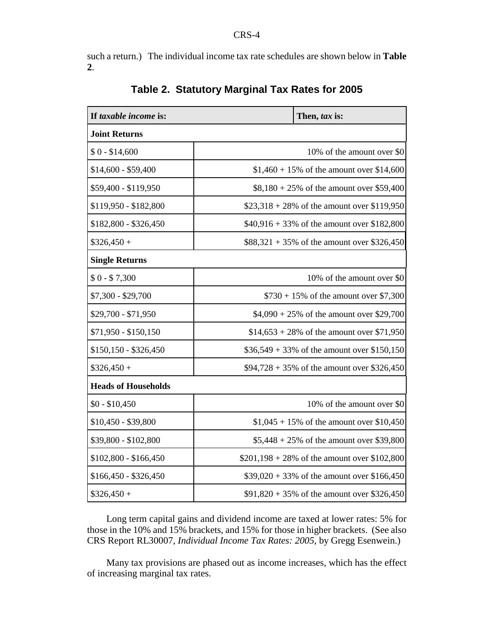such a return.) The individual income tax rate schedules are shown below in **Table 2**.

| If taxable income is:      | Then, tax is:                                  |  |  |
|----------------------------|------------------------------------------------|--|--|
| <b>Joint Returns</b>       |                                                |  |  |
| $$0 - $14,600$             | 10% of the amount over \$0                     |  |  |
| \$14,600 - \$59,400        | $$1,460 + 15\%$ of the amount over \$14,600    |  |  |
| \$59,400 - \$119,950       | $$8,180 + 25\%$ of the amount over \$59,400    |  |  |
| \$119,950 - \$182,800      | $$23,318 + 28\%$ of the amount over \$119,950  |  |  |
| \$182,800 - \$326,450      | $$40,916 + 33\%$ of the amount over \$182,800  |  |  |
| $$326,450 +$               | $$88,321 + 35\%$ of the amount over \$326,450  |  |  |
| <b>Single Returns</b>      |                                                |  |  |
| $$0 - $7,300$              | 10% of the amount over \$0                     |  |  |
| $$7,300 - $29,700$         | $$730 + 15\%$ of the amount over \$7,300       |  |  |
| \$29,700 - \$71,950        | $$4,090 + 25\%$ of the amount over \$29,700    |  |  |
| \$71,950 - \$150,150       | $$14,653 + 28\%$ of the amount over \$71,950   |  |  |
| $$150,150 - $326,450$      | $$36,549 + 33\%$ of the amount over \$150,150  |  |  |
| $$326,450 +$               | $$94,728 + 35\%$ of the amount over \$326,450  |  |  |
| <b>Heads of Households</b> |                                                |  |  |
| $$0 - $10,450$             | 10% of the amount over \$0                     |  |  |
| \$10,450 - \$39,800        | $$1,045 + 15\%$ of the amount over \$10,450    |  |  |
| \$39,800 - \$102,800       | $$5,448 + 25\%$ of the amount over \$39,800    |  |  |
| $$102,800 - $166,450$      | $$201,198 + 28\%$ of the amount over \$102,800 |  |  |
| \$166,450 - \$326,450      | $$39,020 + 33\%$ of the amount over \$166,450  |  |  |
| $$326,450 +$               | $$91,820 + 35\%$ of the amount over \$326,450  |  |  |

## **Table 2. Statutory Marginal Tax Rates for 2005**

Long term capital gains and dividend income are taxed at lower rates: 5% for those in the 10% and 15% brackets, and 15% for those in higher brackets. (See also CRS Report RL30007, *Individual Income Tax Rates: 2005*, by Gregg Esenwein.)

Many tax provisions are phased out as income increases, which has the effect of increasing marginal tax rates.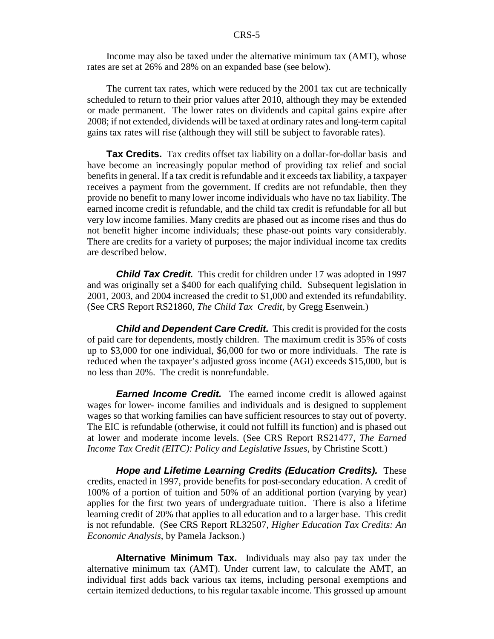Income may also be taxed under the alternative minimum tax (AMT), whose rates are set at 26% and 28% on an expanded base (see below).

The current tax rates, which were reduced by the 2001 tax cut are technically scheduled to return to their prior values after 2010, although they may be extended or made permanent. The lower rates on dividends and capital gains expire after 2008; if not extended, dividends will be taxed at ordinary rates and long-term capital gains tax rates will rise (although they will still be subject to favorable rates).

**Tax Credits.** Tax credits offset tax liability on a dollar-for-dollar basis and have become an increasingly popular method of providing tax relief and social benefits in general. If a tax credit is refundable and it exceeds tax liability, a taxpayer receives a payment from the government. If credits are not refundable, then they provide no benefit to many lower income individuals who have no tax liability. The earned income credit is refundable, and the child tax credit is refundable for all but very low income families. Many credits are phased out as income rises and thus do not benefit higher income individuals; these phase-out points vary considerably. There are credits for a variety of purposes; the major individual income tax credits are described below.

*Child Tax Credit.* This credit for children under 17 was adopted in 1997 and was originally set a \$400 for each qualifying child. Subsequent legislation in 2001, 2003, and 2004 increased the credit to \$1,000 and extended its refundability. (See CRS Report RS21860, *The Child Tax Credit*, by Gregg Esenwein.)

*Child and Dependent Care Credit.* This credit is provided for the costs of paid care for dependents, mostly children. The maximum credit is 35% of costs up to \$3,000 for one individual, \$6,000 for two or more individuals. The rate is reduced when the taxpayer's adjusted gross income (AGI) exceeds \$15,000, but is no less than 20%. The credit is nonrefundable.

*Earned Income Credit.* The earned income credit is allowed against wages for lower- income families and individuals and is designed to supplement wages so that working families can have sufficient resources to stay out of poverty. The EIC is refundable (otherwise, it could not fulfill its function) and is phased out at lower and moderate income levels. (See CRS Report RS21477, *The Earned Income Tax Credit (EITC): Policy and Legislative Issues*, by Christine Scott.)

*Hope and Lifetime Learning Credits (Education Credits).* These credits, enacted in 1997, provide benefits for post-secondary education. A credit of 100% of a portion of tuition and 50% of an additional portion (varying by year) applies for the first two years of undergraduate tuition. There is also a lifetime learning credit of 20% that applies to all education and to a larger base. This credit is not refundable. (See CRS Report RL32507, *Higher Education Tax Credits: An Economic Analysis*, by Pamela Jackson.)

**Alternative Minimum Tax.** Individuals may also pay tax under the alternative minimum tax (AMT). Under current law, to calculate the AMT, an individual first adds back various tax items, including personal exemptions and certain itemized deductions, to his regular taxable income. This grossed up amount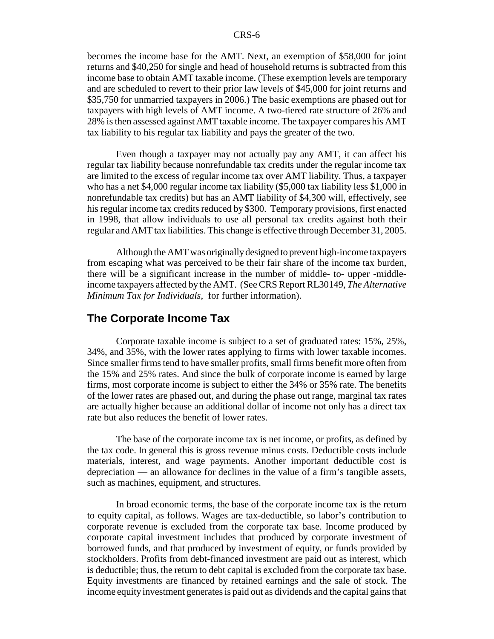becomes the income base for the AMT. Next, an exemption of \$58,000 for joint returns and \$40,250 for single and head of household returns is subtracted from this income base to obtain AMT taxable income. (These exemption levels are temporary and are scheduled to revert to their prior law levels of \$45,000 for joint returns and \$35,750 for unmarried taxpayers in 2006.) The basic exemptions are phased out for taxpayers with high levels of AMT income. A two-tiered rate structure of 26% and 28% is then assessed against AMT taxable income. The taxpayer compares his AMT tax liability to his regular tax liability and pays the greater of the two.

Even though a taxpayer may not actually pay any AMT, it can affect his regular tax liability because nonrefundable tax credits under the regular income tax are limited to the excess of regular income tax over AMT liability. Thus, a taxpayer who has a net \$4,000 regular income tax liability (\$5,000 tax liability less \$1,000 in nonrefundable tax credits) but has an AMT liability of \$4,300 will, effectively, see his regular income tax credits reduced by \$300. Temporary provisions, first enacted in 1998, that allow individuals to use all personal tax credits against both their regular and AMT tax liabilities. This change is effective through December 31, 2005.

Although the AMT was originally designed to prevent high-income taxpayers from escaping what was perceived to be their fair share of the income tax burden, there will be a significant increase in the number of middle- to- upper -middleincome taxpayers affected by the AMT. (See CRS Report RL30149, *The Alternative Minimum Tax for Individuals*, for further information).

#### **The Corporate Income Tax**

Corporate taxable income is subject to a set of graduated rates: 15%, 25%, 34%, and 35%, with the lower rates applying to firms with lower taxable incomes. Since smaller firms tend to have smaller profits, small firms benefit more often from the 15% and 25% rates. And since the bulk of corporate income is earned by large firms, most corporate income is subject to either the 34% or 35% rate. The benefits of the lower rates are phased out, and during the phase out range, marginal tax rates are actually higher because an additional dollar of income not only has a direct tax rate but also reduces the benefit of lower rates.

The base of the corporate income tax is net income, or profits, as defined by the tax code. In general this is gross revenue minus costs. Deductible costs include materials, interest, and wage payments. Another important deductible cost is depreciation — an allowance for declines in the value of a firm's tangible assets, such as machines, equipment, and structures.

In broad economic terms, the base of the corporate income tax is the return to equity capital, as follows. Wages are tax-deductible, so labor's contribution to corporate revenue is excluded from the corporate tax base. Income produced by corporate capital investment includes that produced by corporate investment of borrowed funds, and that produced by investment of equity, or funds provided by stockholders. Profits from debt-financed investment are paid out as interest, which is deductible; thus, the return to debt capital is excluded from the corporate tax base. Equity investments are financed by retained earnings and the sale of stock. The income equity investment generates is paid out as dividends and the capital gains that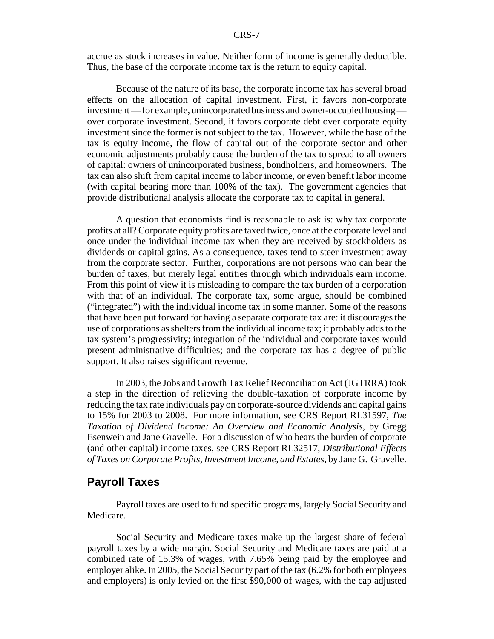accrue as stock increases in value. Neither form of income is generally deductible. Thus, the base of the corporate income tax is the return to equity capital.

Because of the nature of its base, the corporate income tax has several broad effects on the allocation of capital investment. First, it favors non-corporate investment — for example, unincorporated business and owner-occupied housing over corporate investment. Second, it favors corporate debt over corporate equity investment since the former is not subject to the tax. However, while the base of the tax is equity income, the flow of capital out of the corporate sector and other economic adjustments probably cause the burden of the tax to spread to all owners of capital: owners of unincorporated business, bondholders, and homeowners. The tax can also shift from capital income to labor income, or even benefit labor income (with capital bearing more than 100% of the tax). The government agencies that provide distributional analysis allocate the corporate tax to capital in general.

A question that economists find is reasonable to ask is: why tax corporate profits at all? Corporate equity profits are taxed twice, once at the corporate level and once under the individual income tax when they are received by stockholders as dividends or capital gains. As a consequence, taxes tend to steer investment away from the corporate sector. Further, corporations are not persons who can bear the burden of taxes, but merely legal entities through which individuals earn income. From this point of view it is misleading to compare the tax burden of a corporation with that of an individual. The corporate tax, some argue, should be combined ("integrated") with the individual income tax in some manner. Some of the reasons that have been put forward for having a separate corporate tax are: it discourages the use of corporations as shelters from the individual income tax; it probably adds to the tax system's progressivity; integration of the individual and corporate taxes would present administrative difficulties; and the corporate tax has a degree of public support. It also raises significant revenue.

In 2003, the Jobs and Growth Tax Relief Reconciliation Act (JGTRRA) took a step in the direction of relieving the double-taxation of corporate income by reducing the tax rate individuals pay on corporate-source dividends and capital gains to 15% for 2003 to 2008. For more information, see CRS Report RL31597, *The Taxation of Dividend Income: An Overview and Economic Analysis*, by Gregg Esenwein and Jane Gravelle. For a discussion of who bears the burden of corporate (and other capital) income taxes, see CRS Report RL32517, *Distributional Effects of Taxes on Corporate Profits, Investment Income, and Estates*, by Jane G. Gravelle.

#### **Payroll Taxes**

Payroll taxes are used to fund specific programs, largely Social Security and Medicare.

Social Security and Medicare taxes make up the largest share of federal payroll taxes by a wide margin. Social Security and Medicare taxes are paid at a combined rate of 15.3% of wages, with 7.65% being paid by the employee and employer alike. In 2005, the Social Security part of the tax (6.2% for both employees and employers) is only levied on the first \$90,000 of wages, with the cap adjusted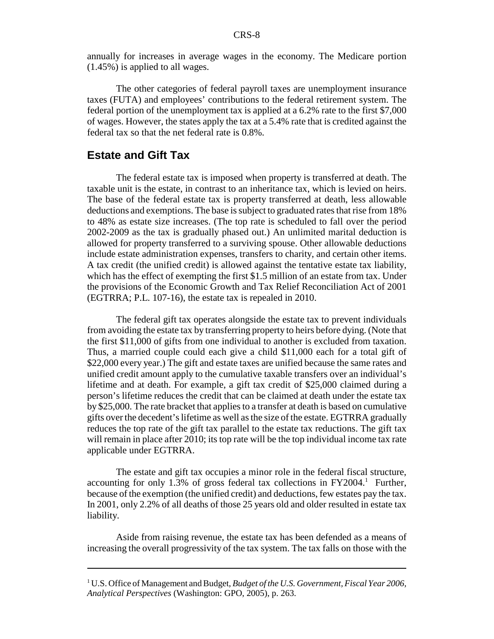annually for increases in average wages in the economy. The Medicare portion (1.45%) is applied to all wages.

The other categories of federal payroll taxes are unemployment insurance taxes (FUTA) and employees' contributions to the federal retirement system. The federal portion of the unemployment tax is applied at a 6.2% rate to the first \$7,000 of wages. However, the states apply the tax at a 5.4% rate that is credited against the federal tax so that the net federal rate is 0.8%.

#### **Estate and Gift Tax**

The federal estate tax is imposed when property is transferred at death. The taxable unit is the estate, in contrast to an inheritance tax, which is levied on heirs. The base of the federal estate tax is property transferred at death, less allowable deductions and exemptions. The base is subject to graduated rates that rise from 18% to 48% as estate size increases. (The top rate is scheduled to fall over the period 2002-2009 as the tax is gradually phased out.) An unlimited marital deduction is allowed for property transferred to a surviving spouse. Other allowable deductions include estate administration expenses, transfers to charity, and certain other items. A tax credit (the unified credit) is allowed against the tentative estate tax liability, which has the effect of exempting the first \$1.5 million of an estate from tax. Under the provisions of the Economic Growth and Tax Relief Reconciliation Act of 2001 (EGTRRA; P.L. 107-16), the estate tax is repealed in 2010.

The federal gift tax operates alongside the estate tax to prevent individuals from avoiding the estate tax by transferring property to heirs before dying. (Note that the first \$11,000 of gifts from one individual to another is excluded from taxation. Thus, a married couple could each give a child \$11,000 each for a total gift of \$22,000 every year.) The gift and estate taxes are unified because the same rates and unified credit amount apply to the cumulative taxable transfers over an individual's lifetime and at death. For example, a gift tax credit of \$25,000 claimed during a person's lifetime reduces the credit that can be claimed at death under the estate tax by \$25,000. The rate bracket that applies to a transfer at death is based on cumulative gifts over the decedent's lifetime as well as the size of the estate. EGTRRA gradually reduces the top rate of the gift tax parallel to the estate tax reductions. The gift tax will remain in place after 2010; its top rate will be the top individual income tax rate applicable under EGTRRA.

The estate and gift tax occupies a minor role in the federal fiscal structure, accounting for only 1.3% of gross federal tax collections in  $FY2004$ .<sup>1</sup> Further, because of the exemption (the unified credit) and deductions, few estates pay the tax. In 2001, only 2.2% of all deaths of those 25 years old and older resulted in estate tax liability.

Aside from raising revenue, the estate tax has been defended as a means of increasing the overall progressivity of the tax system. The tax falls on those with the

<sup>&</sup>lt;sup>1</sup> U.S. Office of Management and Budget, *Budget of the U.S. Government*, *Fiscal Year 2006*, *Analytical Perspectives* (Washington: GPO, 2005), p. 263.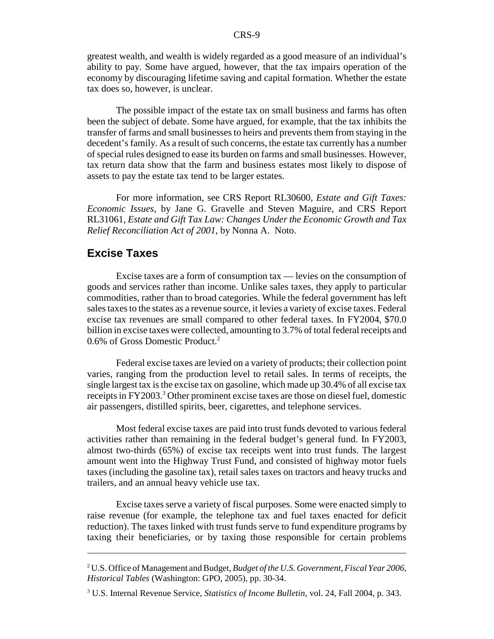greatest wealth, and wealth is widely regarded as a good measure of an individual's ability to pay. Some have argued, however, that the tax impairs operation of the economy by discouraging lifetime saving and capital formation. Whether the estate tax does so, however, is unclear.

The possible impact of the estate tax on small business and farms has often been the subject of debate. Some have argued, for example, that the tax inhibits the transfer of farms and small businesses to heirs and prevents them from staying in the decedent's family. As a result of such concerns, the estate tax currently has a number of special rules designed to ease its burden on farms and small businesses. However, tax return data show that the farm and business estates most likely to dispose of assets to pay the estate tax tend to be larger estates.

For more information, see CRS Report RL30600, *Estate and Gift Taxes: Economic Issues*, by Jane G. Gravelle and Steven Maguire, and CRS Report RL31061, *Estate and Gift Tax Law: Changes Under the Economic Growth and Tax Relief Reconciliation Act of 2001*, by Nonna A. Noto.

## **Excise Taxes**

Excise taxes are a form of consumption tax — levies on the consumption of goods and services rather than income. Unlike sales taxes, they apply to particular commodities, rather than to broad categories. While the federal government has left sales taxes to the states as a revenue source, it levies a variety of excise taxes. Federal excise tax revenues are small compared to other federal taxes. In FY2004, \$70.0 billion in excise taxes were collected, amounting to 3.7% of total federal receipts and 0.6% of Gross Domestic Product.2

Federal excise taxes are levied on a variety of products; their collection point varies, ranging from the production level to retail sales. In terms of receipts, the single largest tax is the excise tax on gasoline, which made up 30.4% of all excise tax receipts in FY2003.<sup>3</sup> Other prominent excise taxes are those on diesel fuel, domestic air passengers, distilled spirits, beer, cigarettes, and telephone services.

Most federal excise taxes are paid into trust funds devoted to various federal activities rather than remaining in the federal budget's general fund. In FY2003, almost two-thirds (65%) of excise tax receipts went into trust funds. The largest amount went into the Highway Trust Fund, and consisted of highway motor fuels taxes (including the gasoline tax), retail sales taxes on tractors and heavy trucks and trailers, and an annual heavy vehicle use tax.

Excise taxes serve a variety of fiscal purposes. Some were enacted simply to raise revenue (for example, the telephone tax and fuel taxes enacted for deficit reduction). The taxes linked with trust funds serve to fund expenditure programs by taxing their beneficiaries, or by taxing those responsible for certain problems

<sup>2</sup> U.S. Office of Management and Budget, *Budget of the U.S. Government, Fiscal Year 2006, Historical Tables* (Washington: GPO, 2005), pp. 30-34.

<sup>3</sup> U.S. Internal Revenue Service, *Statistics of Income Bulletin*, vol. 24, Fall 2004, p. 343.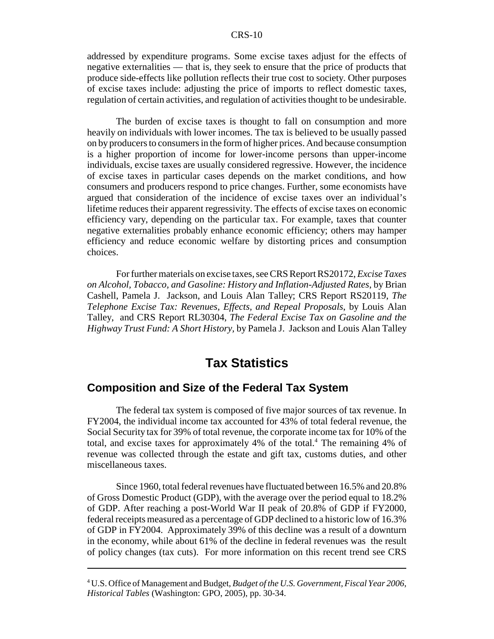addressed by expenditure programs. Some excise taxes adjust for the effects of negative externalities — that is, they seek to ensure that the price of products that produce side-effects like pollution reflects their true cost to society. Other purposes of excise taxes include: adjusting the price of imports to reflect domestic taxes, regulation of certain activities, and regulation of activities thought to be undesirable.

The burden of excise taxes is thought to fall on consumption and more heavily on individuals with lower incomes. The tax is believed to be usually passed on by producers to consumers in the form of higher prices. And because consumption is a higher proportion of income for lower-income persons than upper-income individuals, excise taxes are usually considered regressive. However, the incidence of excise taxes in particular cases depends on the market conditions, and how consumers and producers respond to price changes. Further, some economists have argued that consideration of the incidence of excise taxes over an individual's lifetime reduces their apparent regressivity. The effects of excise taxes on economic efficiency vary, depending on the particular tax. For example, taxes that counter negative externalities probably enhance economic efficiency; others may hamper efficiency and reduce economic welfare by distorting prices and consumption choices.

For further materials on excise taxes, see CRS Report RS20172, *Excise Taxes on Alcohol, Tobacco, and Gasoline: History and Inflation-Adjusted Rates*, by Brian Cashell, Pamela J. Jackson, and Louis Alan Talley; CRS Report RS20119, *The Telephone Excise Tax: Revenues, Effects, and Repeal Proposals*, by Louis Alan Talley, and CRS Report RL30304, *The Federal Excise Tax on Gasoline and the Highway Trust Fund: A Short History,* by Pamela J. Jackson and Louis Alan Talley

## **Tax Statistics**

## **Composition and Size of the Federal Tax System**

The federal tax system is composed of five major sources of tax revenue. In FY2004, the individual income tax accounted for 43% of total federal revenue, the Social Security tax for 39% of total revenue, the corporate income tax for 10% of the total, and excise taxes for approximately 4% of the total.<sup>4</sup> The remaining 4% of revenue was collected through the estate and gift tax, customs duties, and other miscellaneous taxes.

Since 1960, total federal revenues have fluctuated between 16.5% and 20.8% of Gross Domestic Product (GDP), with the average over the period equal to 18.2% of GDP. After reaching a post-World War II peak of 20.8% of GDP if FY2000, federal receipts measured as a percentage of GDP declined to a historic low of 16.3% of GDP in FY2004. Approximately 39% of this decline was a result of a downturn in the economy, while about 61% of the decline in federal revenues was the result of policy changes (tax cuts). For more information on this recent trend see CRS

<sup>4</sup> U.S. Office of Management and Budget, *Budget of the U.S. Government, Fiscal Year 2006*, *Historical Tables* (Washington: GPO, 2005), pp. 30-34.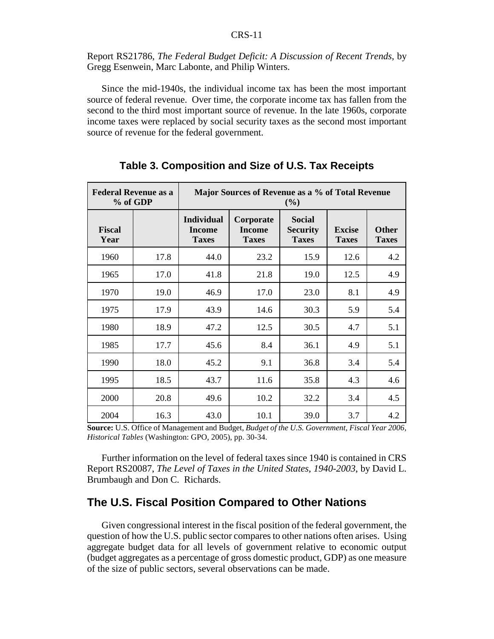Report RS21786, *The Federal Budget Deficit: A Discussion of Recent Trends*, by Gregg Esenwein, Marc Labonte, and Philip Winters.

Since the mid-1940s, the individual income tax has been the most important source of federal revenue. Over time, the corporate income tax has fallen from the second to the third most important source of revenue. In the late 1960s, corporate income taxes were replaced by social security taxes as the second most important source of revenue for the federal government.

| <b>Federal Revenue as a</b><br>% of GDP |      | Major Sources of Revenue as a % of Total Revenue<br>(%) |                                     |                                           |                               |                       |
|-----------------------------------------|------|---------------------------------------------------------|-------------------------------------|-------------------------------------------|-------------------------------|-----------------------|
| <b>Fiscal</b><br>Year                   |      | <b>Individual</b><br>Income<br><b>Taxes</b>             | Corporate<br>Income<br><b>Taxes</b> | Social<br><b>Security</b><br><b>Taxes</b> | <b>Excise</b><br><b>Taxes</b> | Other<br><b>Taxes</b> |
| 1960                                    | 17.8 | 44.0                                                    | 23.2                                | 15.9                                      | 12.6                          | 4.2                   |
| 1965                                    | 17.0 | 41.8                                                    | 21.8                                | 19.0                                      | 12.5                          | 4.9                   |
| 1970                                    | 19.0 | 46.9                                                    | 17.0                                | 23.0                                      | 8.1                           | 4.9                   |
| 1975                                    | 17.9 | 43.9                                                    | 14.6                                | 30.3                                      | 5.9                           | 5.4                   |
| 1980                                    | 18.9 | 47.2                                                    | 12.5                                | 30.5                                      | 4.7                           | 5.1                   |
| 1985                                    | 17.7 | 45.6                                                    | 8.4                                 | 36.1                                      | 4.9                           | 5.1                   |
| 1990                                    | 18.0 | 45.2                                                    | 9.1                                 | 36.8                                      | 3.4                           | 5.4                   |
| 1995                                    | 18.5 | 43.7                                                    | 11.6                                | 35.8                                      | 4.3                           | 4.6                   |
| 2000                                    | 20.8 | 49.6                                                    | 10.2                                | 32.2                                      | 3.4                           | 4.5                   |
| 2004                                    | 16.3 | 43.0                                                    | 10.1                                | 39.0                                      | 3.7                           | 4.2                   |

**Table 3. Composition and Size of U.S. Tax Receipts**

**Source:** U.S. Office of Management and Budget, *Budget of the U.S. Government, Fiscal Year 2006, Historical Tables* (Washington: GPO, 2005), pp. 30-34.

Further information on the level of federal taxes since 1940 is contained in CRS Report RS20087, *The Level of Taxes in the United States, 1940-2003*, by David L. Brumbaugh and Don C. Richards.

## **The U.S. Fiscal Position Compared to Other Nations**

Given congressional interest in the fiscal position of the federal government, the question of how the U.S. public sector compares to other nations often arises. Using aggregate budget data for all levels of government relative to economic output (budget aggregates as a percentage of gross domestic product, GDP) as one measure of the size of public sectors, several observations can be made.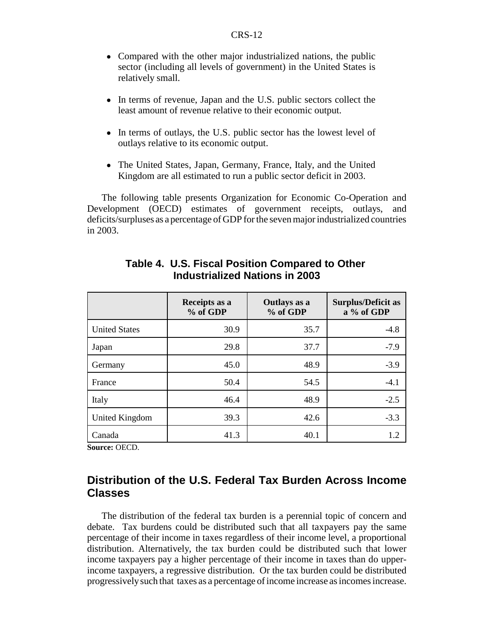- Compared with the other major industrialized nations, the public sector (including all levels of government) in the United States is relatively small.
- In terms of revenue, Japan and the U.S. public sectors collect the least amount of revenue relative to their economic output.
- In terms of outlays, the U.S. public sector has the lowest level of outlays relative to its economic output.
- The United States, Japan, Germany, France, Italy, and the United Kingdom are all estimated to run a public sector deficit in 2003.

The following table presents Organization for Economic Co-Operation and Development (OECD) estimates of government receipts, outlays, and deficits/surpluses as a percentage of GDP for the seven major industrialized countries in 2003.

|                      | Receipts as a<br>% of GDP | Outlays as a<br>% of GDP | <b>Surplus/Deficit as</b><br>a % of GDP |
|----------------------|---------------------------|--------------------------|-----------------------------------------|
| <b>United States</b> | 30.9                      | 35.7                     | $-4.8$                                  |
| Japan                | 29.8                      | 37.7                     | $-7.9$                                  |
| Germany              | 45.0                      | 48.9                     | $-3.9$                                  |
| France               | 50.4                      | 54.5                     | $-4.1$                                  |
| Italy                | 46.4                      | 48.9                     | $-2.5$                                  |
| United Kingdom       | 39.3                      | 42.6                     | $-3.3$                                  |
| Canada               | 41.3                      | 40.1                     | 1.2                                     |

## **Table 4. U.S. Fiscal Position Compared to Other Industrialized Nations in 2003**

**Source:** OECD.

## **Distribution of the U.S. Federal Tax Burden Across Income Classes**

The distribution of the federal tax burden is a perennial topic of concern and debate. Tax burdens could be distributed such that all taxpayers pay the same percentage of their income in taxes regardless of their income level, a proportional distribution. Alternatively, the tax burden could be distributed such that lower income taxpayers pay a higher percentage of their income in taxes than do upperincome taxpayers, a regressive distribution. Or the tax burden could be distributed progressively such that taxes as a percentage of income increase as incomes increase.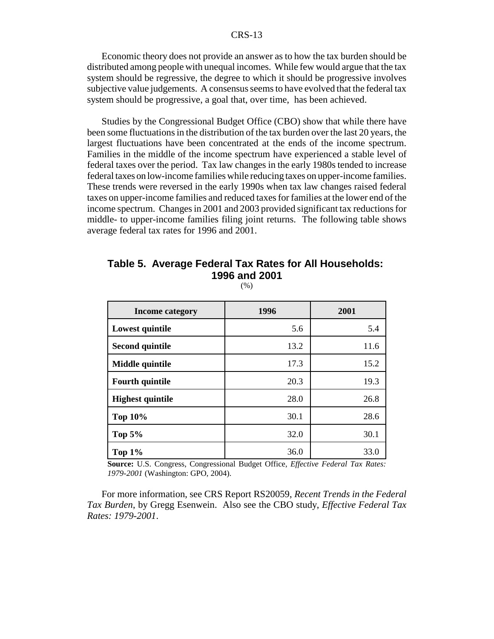Economic theory does not provide an answer as to how the tax burden should be distributed among people with unequal incomes. While few would argue that the tax system should be regressive, the degree to which it should be progressive involves subjective value judgements. A consensus seems to have evolved that the federal tax system should be progressive, a goal that, over time, has been achieved.

Studies by the Congressional Budget Office (CBO) show that while there have been some fluctuations in the distribution of the tax burden over the last 20 years, the largest fluctuations have been concentrated at the ends of the income spectrum. Families in the middle of the income spectrum have experienced a stable level of federal taxes over the period. Tax law changes in the early 1980s tended to increase federal taxes on low-income families while reducing taxes on upper-income families. These trends were reversed in the early 1990s when tax law changes raised federal taxes on upper-income families and reduced taxes for families at the lower end of the income spectrum. Changes in 2001 and 2003 provided significant tax reductions for middle- to upper-income families filing joint returns. The following table shows average federal tax rates for 1996 and 2001.

### **Table 5. Average Federal Tax Rates for All Households: 1996 and 2001**

(%)

| Income category         | 1996 | 2001 |
|-------------------------|------|------|
| Lowest quintile         | 5.6  | 5.4  |
| <b>Second quintile</b>  | 13.2 | 11.6 |
| Middle quintile         | 17.3 | 15.2 |
| <b>Fourth quintile</b>  | 20.3 | 19.3 |
| <b>Highest quintile</b> | 28.0 | 26.8 |
| <b>Top 10%</b>          | 30.1 | 28.6 |
| Top $5%$                | 32.0 | 30.1 |
| Top $1\%$               | 36.0 | 33.0 |

**Source:** U.S. Congress, Congressional Budget Office, *Effective Federal Tax Rates: 1979-2001* (Washington: GPO, 2004).

For more information, see CRS Report RS20059, *Recent Trends in the Federal Tax Burden*, by Gregg Esenwein. Also see the CBO study, *Effective Federal Tax Rates: 1979-2001*.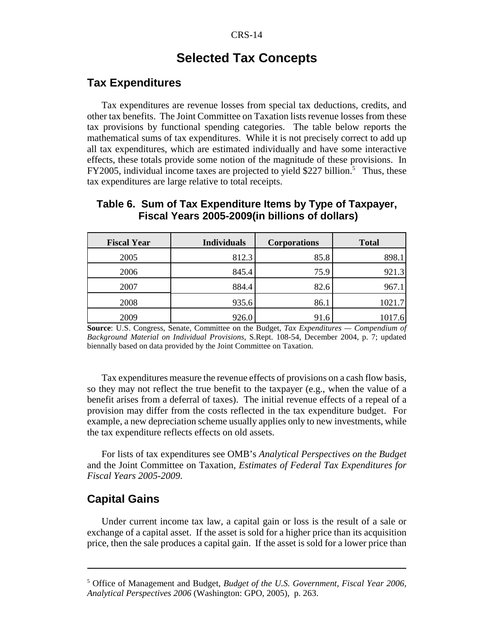## **Selected Tax Concepts**

### **Tax Expenditures**

Tax expenditures are revenue losses from special tax deductions, credits, and other tax benefits. The Joint Committee on Taxation lists revenue losses from these tax provisions by functional spending categories. The table below reports the mathematical sums of tax expenditures. While it is not precisely correct to add up all tax expenditures, which are estimated individually and have some interactive effects, these totals provide some notion of the magnitude of these provisions. In FY2005, individual income taxes are projected to yield \$227 billion.<sup>5</sup> Thus, these tax expenditures are large relative to total receipts.

| <b>Fiscal Year</b> | <b>Individuals</b> | <b>Corporations</b> | <b>Total</b> |
|--------------------|--------------------|---------------------|--------------|
| 2005               | 812.3              | 85.8                | 898.1        |
| 2006               | 845.4              | 75.9                | 921.3        |
| 2007               | 884.4              | 82.6                | 967.1        |
| 2008               | 935.6              | 86.1                | 1021.7       |
| 2009               | 926.0              | 91.6                | 1017.6       |

#### **Table 6. Sum of Tax Expenditure Items by Type of Taxpayer, Fiscal Years 2005-2009(in billions of dollars)**

**Source**: U.S. Congress, Senate, Committee on the Budget, *Tax Expenditures — Compendium of Background Material on Individual Provisions,* S.Rept. 108-54, December 2004, p. 7; updated biennally based on data provided by the Joint Committee on Taxation.

Tax expenditures measure the revenue effects of provisions on a cash flow basis, so they may not reflect the true benefit to the taxpayer (e.g., when the value of a benefit arises from a deferral of taxes). The initial revenue effects of a repeal of a provision may differ from the costs reflected in the tax expenditure budget. For example, a new depreciation scheme usually applies only to new investments, while the tax expenditure reflects effects on old assets.

For lists of tax expenditures see OMB's *Analytical Perspectives on the Budget* and the Joint Committee on Taxation, *Estimates of Federal Tax Expenditures for Fiscal Years 2005-2009*.

#### **Capital Gains**

Under current income tax law, a capital gain or loss is the result of a sale or exchange of a capital asset. If the asset is sold for a higher price than its acquisition price, then the sale produces a capital gain. If the asset is sold for a lower price than

<sup>5</sup> Office of Management and Budget, *Budget of the U.S. Government, Fiscal Year 2006, Analytical Perspectives 2006* (Washington: GPO, 2005), p. 263.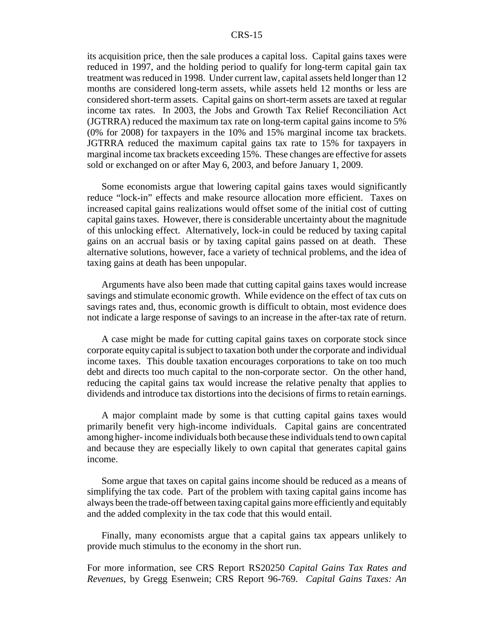its acquisition price, then the sale produces a capital loss. Capital gains taxes were reduced in 1997, and the holding period to qualify for long-term capital gain tax treatment was reduced in 1998. Under current law, capital assets held longer than 12 months are considered long-term assets, while assets held 12 months or less are considered short-term assets. Capital gains on short-term assets are taxed at regular income tax rates. In 2003, the Jobs and Growth Tax Relief Reconciliation Act (JGTRRA) reduced the maximum tax rate on long-term capital gains income to 5% (0% for 2008) for taxpayers in the 10% and 15% marginal income tax brackets. JGTRRA reduced the maximum capital gains tax rate to 15% for taxpayers in marginal income tax brackets exceeding 15%. These changes are effective for assets sold or exchanged on or after May 6, 2003, and before January 1, 2009.

Some economists argue that lowering capital gains taxes would significantly reduce "lock-in" effects and make resource allocation more efficient. Taxes on increased capital gains realizations would offset some of the initial cost of cutting capital gains taxes. However, there is considerable uncertainty about the magnitude of this unlocking effect. Alternatively, lock-in could be reduced by taxing capital gains on an accrual basis or by taxing capital gains passed on at death. These alternative solutions, however, face a variety of technical problems, and the idea of taxing gains at death has been unpopular.

Arguments have also been made that cutting capital gains taxes would increase savings and stimulate economic growth. While evidence on the effect of tax cuts on savings rates and, thus, economic growth is difficult to obtain, most evidence does not indicate a large response of savings to an increase in the after-tax rate of return.

A case might be made for cutting capital gains taxes on corporate stock since corporate equity capital is subject to taxation both under the corporate and individual income taxes. This double taxation encourages corporations to take on too much debt and directs too much capital to the non-corporate sector. On the other hand, reducing the capital gains tax would increase the relative penalty that applies to dividends and introduce tax distortions into the decisions of firms to retain earnings.

A major complaint made by some is that cutting capital gains taxes would primarily benefit very high-income individuals. Capital gains are concentrated among higher- income individuals both because these individuals tend to own capital and because they are especially likely to own capital that generates capital gains income.

Some argue that taxes on capital gains income should be reduced as a means of simplifying the tax code. Part of the problem with taxing capital gains income has always been the trade-off between taxing capital gains more efficiently and equitably and the added complexity in the tax code that this would entail.

Finally, many economists argue that a capital gains tax appears unlikely to provide much stimulus to the economy in the short run.

For more information, see CRS Report RS20250 *Capital Gains Tax Rates and Revenues*, by Gregg Esenwein; CRS Report 96-769. *Capital Gains Taxes: An*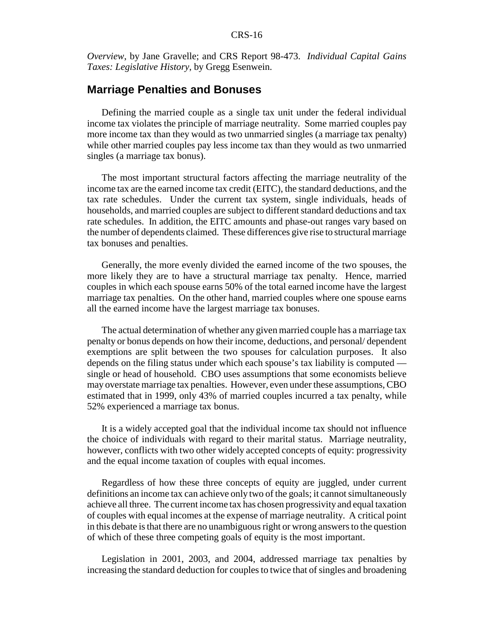*Overview*, by Jane Gravelle; and CRS Report 98-473. *Individual Capital Gains Taxes: Legislative History*, by Gregg Esenwein.

## **Marriage Penalties and Bonuses**

Defining the married couple as a single tax unit under the federal individual income tax violates the principle of marriage neutrality. Some married couples pay more income tax than they would as two unmarried singles (a marriage tax penalty) while other married couples pay less income tax than they would as two unmarried singles (a marriage tax bonus).

The most important structural factors affecting the marriage neutrality of the income tax are the earned income tax credit (EITC), the standard deductions, and the tax rate schedules. Under the current tax system, single individuals, heads of households, and married couples are subject to different standard deductions and tax rate schedules. In addition, the EITC amounts and phase-out ranges vary based on the number of dependents claimed. These differences give rise to structural marriage tax bonuses and penalties.

Generally, the more evenly divided the earned income of the two spouses, the more likely they are to have a structural marriage tax penalty. Hence, married couples in which each spouse earns 50% of the total earned income have the largest marriage tax penalties. On the other hand, married couples where one spouse earns all the earned income have the largest marriage tax bonuses.

The actual determination of whether any given married couple has a marriage tax penalty or bonus depends on how their income, deductions, and personal/ dependent exemptions are split between the two spouses for calculation purposes. It also depends on the filing status under which each spouse's tax liability is computed single or head of household. CBO uses assumptions that some economists believe may overstate marriage tax penalties. However, even under these assumptions, CBO estimated that in 1999, only 43% of married couples incurred a tax penalty, while 52% experienced a marriage tax bonus.

It is a widely accepted goal that the individual income tax should not influence the choice of individuals with regard to their marital status. Marriage neutrality, however, conflicts with two other widely accepted concepts of equity: progressivity and the equal income taxation of couples with equal incomes.

Regardless of how these three concepts of equity are juggled, under current definitions an income tax can achieve only two of the goals; it cannot simultaneously achieve all three. The current income tax has chosen progressivity and equal taxation of couples with equal incomes at the expense of marriage neutrality. A critical point in this debate is that there are no unambiguous right or wrong answers to the question of which of these three competing goals of equity is the most important.

Legislation in 2001, 2003, and 2004, addressed marriage tax penalties by increasing the standard deduction for couples to twice that of singles and broadening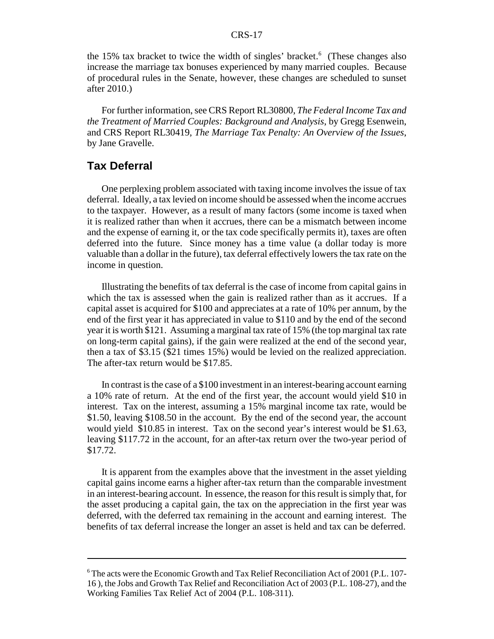the 15% tax bracket to twice the width of singles' bracket.<sup>6</sup> (These changes also increase the marriage tax bonuses experienced by many married couples. Because of procedural rules in the Senate, however, these changes are scheduled to sunset after 2010.)

For further information, see CRS Report RL30800, *The Federal Income Tax and the Treatment of Married Couples: Background and Analysis*, by Gregg Esenwein, and CRS Report RL30419, *The Marriage Tax Penalty: An Overview of the Issues*, by Jane Gravelle.

### **Tax Deferral**

One perplexing problem associated with taxing income involves the issue of tax deferral. Ideally, a tax levied on income should be assessed when the income accrues to the taxpayer. However, as a result of many factors (some income is taxed when it is realized rather than when it accrues, there can be a mismatch between income and the expense of earning it, or the tax code specifically permits it), taxes are often deferred into the future. Since money has a time value (a dollar today is more valuable than a dollar in the future), tax deferral effectively lowers the tax rate on the income in question.

Illustrating the benefits of tax deferral is the case of income from capital gains in which the tax is assessed when the gain is realized rather than as it accrues. If a capital asset is acquired for \$100 and appreciates at a rate of 10% per annum, by the end of the first year it has appreciated in value to \$110 and by the end of the second year it is worth \$121. Assuming a marginal tax rate of 15% (the top marginal tax rate on long-term capital gains), if the gain were realized at the end of the second year, then a tax of \$3.15 (\$21 times 15%) would be levied on the realized appreciation. The after-tax return would be \$17.85.

In contrast is the case of a \$100 investment in an interest-bearing account earning a 10% rate of return. At the end of the first year, the account would yield \$10 in interest. Tax on the interest, assuming a 15% marginal income tax rate, would be \$1.50, leaving \$108.50 in the account. By the end of the second year, the account would yield \$10.85 in interest. Tax on the second year's interest would be \$1.63, leaving \$117.72 in the account, for an after-tax return over the two-year period of \$17.72.

It is apparent from the examples above that the investment in the asset yielding capital gains income earns a higher after-tax return than the comparable investment in an interest-bearing account. In essence, the reason for this result is simply that, for the asset producing a capital gain, the tax on the appreciation in the first year was deferred, with the deferred tax remaining in the account and earning interest. The benefits of tax deferral increase the longer an asset is held and tax can be deferred.

<sup>6</sup> The acts were the Economic Growth and Tax Relief Reconciliation Act of 2001 (P.L. 107- 16 ), the Jobs and Growth Tax Relief and Reconciliation Act of 2003 (P.L. 108-27), and the Working Families Tax Relief Act of 2004 (P.L. 108-311).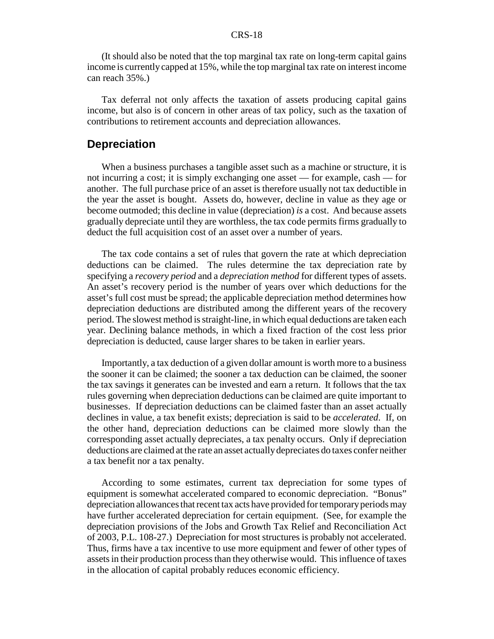(It should also be noted that the top marginal tax rate on long-term capital gains income is currently capped at 15%, while the top marginal tax rate on interest income can reach 35%.)

Tax deferral not only affects the taxation of assets producing capital gains income, but also is of concern in other areas of tax policy, such as the taxation of contributions to retirement accounts and depreciation allowances.

### **Depreciation**

When a business purchases a tangible asset such as a machine or structure, it is not incurring a cost; it is simply exchanging one asset — for example, cash — for another. The full purchase price of an asset is therefore usually not tax deductible in the year the asset is bought. Assets do, however, decline in value as they age or become outmoded; this decline in value (depreciation) *is* a cost. And because assets gradually depreciate until they are worthless, the tax code permits firms gradually to deduct the full acquisition cost of an asset over a number of years.

The tax code contains a set of rules that govern the rate at which depreciation deductions can be claimed. The rules determine the tax depreciation rate by specifying a *recovery period* and a *depreciation method* for different types of assets. An asset's recovery period is the number of years over which deductions for the asset's full cost must be spread; the applicable depreciation method determines how depreciation deductions are distributed among the different years of the recovery period. The slowest method is straight-line, in which equal deductions are taken each year. Declining balance methods, in which a fixed fraction of the cost less prior depreciation is deducted, cause larger shares to be taken in earlier years.

Importantly, a tax deduction of a given dollar amount is worth more to a business the sooner it can be claimed; the sooner a tax deduction can be claimed, the sooner the tax savings it generates can be invested and earn a return. It follows that the tax rules governing when depreciation deductions can be claimed are quite important to businesses. If depreciation deductions can be claimed faster than an asset actually declines in value, a tax benefit exists; depreciation is said to be *accelerated*. If, on the other hand, depreciation deductions can be claimed more slowly than the corresponding asset actually depreciates, a tax penalty occurs. Only if depreciation deductions are claimed at the rate an asset actually depreciates do taxes confer neither a tax benefit nor a tax penalty.

According to some estimates, current tax depreciation for some types of equipment is somewhat accelerated compared to economic depreciation. "Bonus" depreciation allowances that recent tax acts have provided for temporary periods may have further accelerated depreciation for certain equipment. (See, for example the depreciation provisions of the Jobs and Growth Tax Relief and Reconciliation Act of 2003, P.L. 108-27.) Depreciation for most structures is probably not accelerated. Thus, firms have a tax incentive to use more equipment and fewer of other types of assets in their production process than they otherwise would. This influence of taxes in the allocation of capital probably reduces economic efficiency.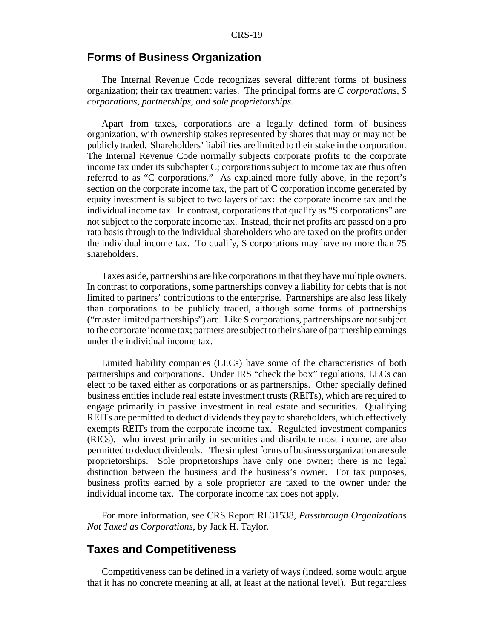#### **Forms of Business Organization**

The Internal Revenue Code recognizes several different forms of business organization; their tax treatment varies. The principal forms are *C corporations, S corporations, partnerships, and sole proprietorships.*

Apart from taxes, corporations are a legally defined form of business organization, with ownership stakes represented by shares that may or may not be publicly traded. Shareholders' liabilities are limited to their stake in the corporation. The Internal Revenue Code normally subjects corporate profits to the corporate income tax under its subchapter C; corporations subject to income tax are thus often referred to as "C corporations." As explained more fully above, in the report's section on the corporate income tax, the part of C corporation income generated by equity investment is subject to two layers of tax: the corporate income tax and the individual income tax. In contrast, corporations that qualify as "S corporations" are not subject to the corporate income tax. Instead, their net profits are passed on a pro rata basis through to the individual shareholders who are taxed on the profits under the individual income tax. To qualify, S corporations may have no more than 75 shareholders.

Taxes aside, partnerships are like corporations in that they have multiple owners. In contrast to corporations, some partnerships convey a liability for debts that is not limited to partners' contributions to the enterprise. Partnerships are also less likely than corporations to be publicly traded, although some forms of partnerships ("master limited partnerships") are. Like S corporations, partnerships are not subject to the corporate income tax; partners are subject to their share of partnership earnings under the individual income tax.

Limited liability companies (LLCs) have some of the characteristics of both partnerships and corporations. Under IRS "check the box" regulations, LLCs can elect to be taxed either as corporations or as partnerships. Other specially defined business entities include real estate investment trusts (REITs), which are required to engage primarily in passive investment in real estate and securities. Qualifying REITs are permitted to deduct dividends they pay to shareholders, which effectively exempts REITs from the corporate income tax. Regulated investment companies (RICs), who invest primarily in securities and distribute most income, are also permitted to deduct dividends. The simplest forms of business organization are sole proprietorships. Sole proprietorships have only one owner; there is no legal distinction between the business and the business's owner. For tax purposes, business profits earned by a sole proprietor are taxed to the owner under the individual income tax. The corporate income tax does not apply.

For more information, see CRS Report RL31538, *Passthrough Organizations Not Taxed as Corporations*, by Jack H. Taylor.

## **Taxes and Competitiveness**

Competitiveness can be defined in a variety of ways (indeed, some would argue that it has no concrete meaning at all, at least at the national level). But regardless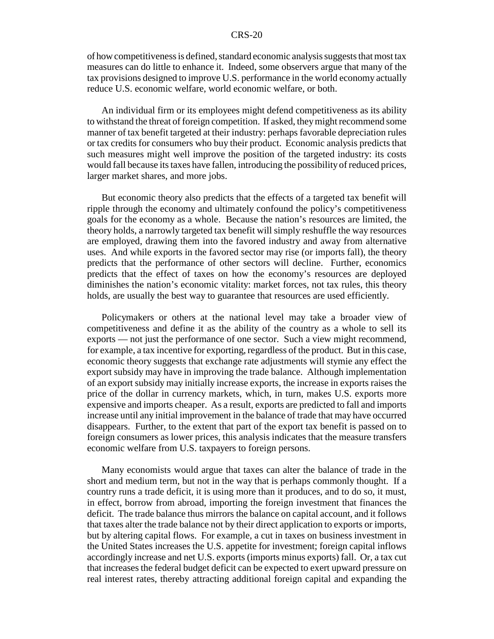of how competitiveness is defined, standard economic analysis suggests that most tax measures can do little to enhance it. Indeed, some observers argue that many of the tax provisions designed to improve U.S. performance in the world economy actually reduce U.S. economic welfare, world economic welfare, or both.

An individual firm or its employees might defend competitiveness as its ability to withstand the threat of foreign competition. If asked, they might recommend some manner of tax benefit targeted at their industry: perhaps favorable depreciation rules or tax credits for consumers who buy their product. Economic analysis predicts that such measures might well improve the position of the targeted industry: its costs would fall because its taxes have fallen, introducing the possibility of reduced prices, larger market shares, and more jobs.

But economic theory also predicts that the effects of a targeted tax benefit will ripple through the economy and ultimately confound the policy's competitiveness goals for the economy as a whole. Because the nation's resources are limited, the theory holds, a narrowly targeted tax benefit will simply reshuffle the way resources are employed, drawing them into the favored industry and away from alternative uses. And while exports in the favored sector may rise (or imports fall), the theory predicts that the performance of other sectors will decline. Further, economics predicts that the effect of taxes on how the economy's resources are deployed diminishes the nation's economic vitality: market forces, not tax rules, this theory holds, are usually the best way to guarantee that resources are used efficiently.

Policymakers or others at the national level may take a broader view of competitiveness and define it as the ability of the country as a whole to sell its exports — not just the performance of one sector. Such a view might recommend, for example, a tax incentive for exporting, regardless of the product. But in this case, economic theory suggests that exchange rate adjustments will stymie any effect the export subsidy may have in improving the trade balance. Although implementation of an export subsidy may initially increase exports, the increase in exports raises the price of the dollar in currency markets, which, in turn, makes U.S. exports more expensive and imports cheaper. As a result, exports are predicted to fall and imports increase until any initial improvement in the balance of trade that may have occurred disappears. Further, to the extent that part of the export tax benefit is passed on to foreign consumers as lower prices, this analysis indicates that the measure transfers economic welfare from U.S. taxpayers to foreign persons.

Many economists would argue that taxes can alter the balance of trade in the short and medium term, but not in the way that is perhaps commonly thought. If a country runs a trade deficit, it is using more than it produces, and to do so, it must, in effect, borrow from abroad, importing the foreign investment that finances the deficit. The trade balance thus mirrors the balance on capital account, and it follows that taxes alter the trade balance not by their direct application to exports or imports, but by altering capital flows. For example, a cut in taxes on business investment in the United States increases the U.S. appetite for investment; foreign capital inflows accordingly increase and net U.S. exports (imports minus exports) fall. Or, a tax cut that increases the federal budget deficit can be expected to exert upward pressure on real interest rates, thereby attracting additional foreign capital and expanding the